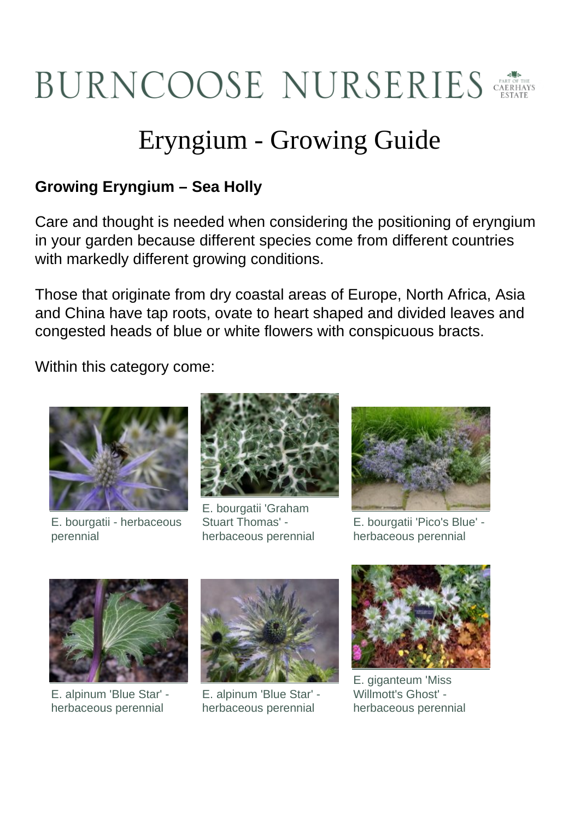

## Eryngium - Growing Guide

## **Growing Eryngium – Sea Holly**

Care and thought is needed when considering the positioning of eryngium in your garden because different species come from different countries with markedly different growing conditions.

Those that originate from dry coastal areas of Europe, North Africa, Asia and China have tap roots, ovate to heart shaped and divided leaves and congested heads of blue or white flowers with conspicuous bracts.

Within this category come:



E. bourgatii - herbaceous perennial



E. bourgatii 'Graham Stuart Thomas' herbaceous perennial



E. bourgatii 'Pico's Blue' herbaceous perennial



E. alpinum 'Blue Star' herbaceous perennial



E. alpinum 'Blue Star' herbaceous perennial



E. giganteum 'Miss Willmott's Ghost' herbaceous perennial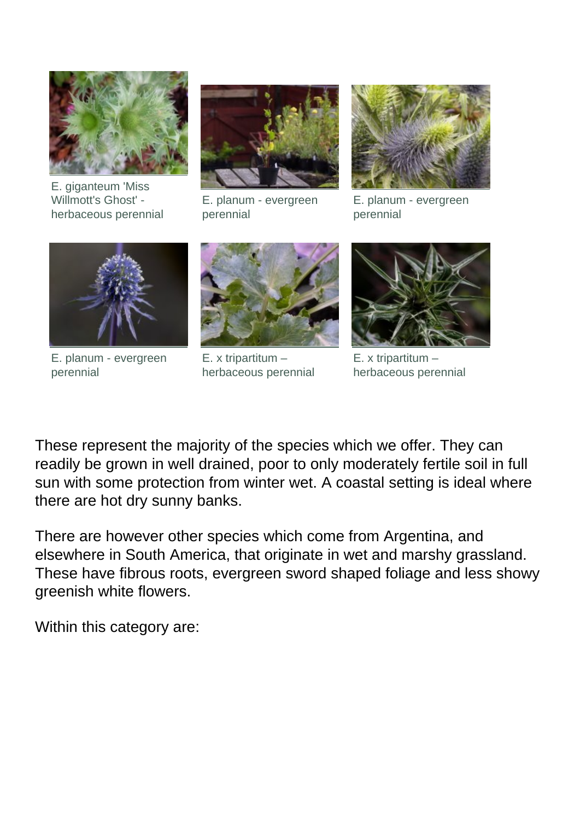

E. giganteum 'Miss Willmott's Ghost' herbaceous perennial



E. planum - evergreen perennial



E. planum - evergreen perennial



E. planum - evergreen perennial



E. x tripartitum – herbaceous perennial



E. x tripartitum – herbaceous perennial

These represent the majority of the species which we offer. They can readily be grown in well drained, poor to only moderately fertile soil in full sun with some protection from winter wet. A coastal setting is ideal where there are hot dry sunny banks.

There are however other species which come from Argentina, and elsewhere in South America, that originate in wet and marshy grassland. These have fibrous roots, evergreen sword shaped foliage and less showy greenish white flowers.

Within this category are: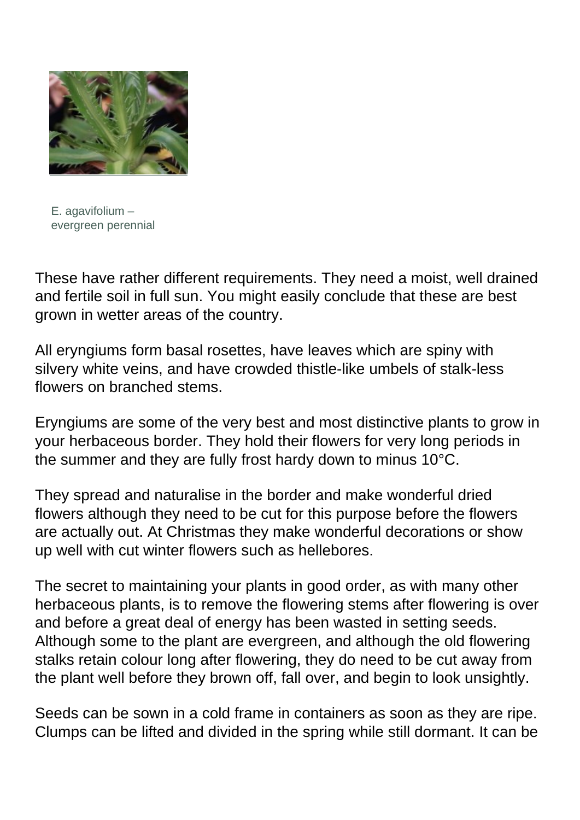

E. agavifolium – evergreen perennial

These have rather different requirements. They need a moist, well drained and fertile soil in full sun. You might easily conclude that these are best grown in wetter areas of the country.

All eryngiums form basal rosettes, have leaves which are spiny with silvery white veins, and have crowded thistle-like umbels of stalk-less flowers on branched stems.

Eryngiums are some of the very best and most distinctive plants to grow in your herbaceous border. They hold their flowers for very long periods in the summer and they are fully frost hardy down to minus 10°C.

They spread and naturalise in the border and make wonderful dried flowers although they need to be cut for this purpose before the flowers are actually out. At Christmas they make wonderful decorations or show up well with cut winter flowers such as hellebores.

The secret to maintaining your plants in good order, as with many other herbaceous plants, is to remove the flowering stems after flowering is over and before a great deal of energy has been wasted in setting seeds. Although some to the plant are evergreen, and although the old flowering stalks retain colour long after flowering, they do need to be cut away from the plant well before they brown off, fall over, and begin to look unsightly.

Seeds can be sown in a cold frame in containers as soon as they are ripe. Clumps can be lifted and divided in the spring while still dormant. It can be